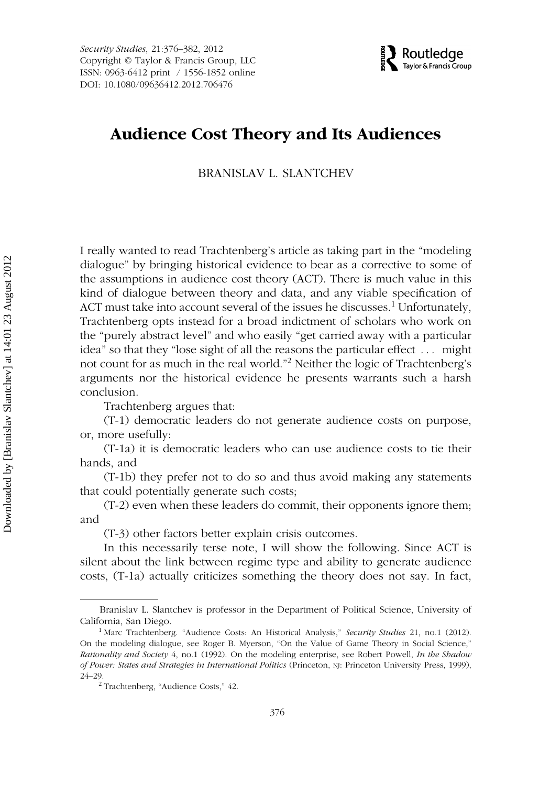

## **Audience Cost Theory and Its Audiences**

BRANISLAV L. SLANTCHEV

I really wanted to read Trachtenberg's article as taking part in the "modeling dialogue" by bringing historical evidence to bear as a corrective to some of the assumptions in audience cost theory (ACT). There is much value in this kind of dialogue between theory and data, and any viable specification of ACT must take into account several of the issues he discusses.<sup>1</sup> Unfortunately, Trachtenberg opts instead for a broad indictment of scholars who work on the "purely abstract level" and who easily "get carried away with a particular idea" so that they "lose sight of all the reasons the particular effect . . . might not count for as much in the real world."<sup>2</sup> Neither the logic of Trachtenberg's arguments nor the historical evidence he presents warrants such a harsh conclusion.

Trachtenberg argues that:

(T-1) democratic leaders do not generate audience costs on purpose, or, more usefully:

(T-1a) it is democratic leaders who can use audience costs to tie their hands, and

(T-1b) they prefer not to do so and thus avoid making any statements that could potentially generate such costs;

(T-2) even when these leaders do commit, their opponents ignore them; and

(T-3) other factors better explain crisis outcomes.

In this necessarily terse note, I will show the following. Since ACT is silent about the link between regime type and ability to generate audience costs, (T-1a) actually criticizes something the theory does not say. In fact,

Branislav L. Slantchev is professor in the Department of Political Science, University of California, San Diego.

<sup>1</sup> Marc Trachtenberg. "Audience Costs: An Historical Analysis," *Security Studies* 21, no.1 (2012). On the modeling dialogue, see Roger B. Myerson, "On the Value of Game Theory in Social Science," *Rationality and Society* 4, no.1 (1992). On the modeling enterprise, see Robert Powell, *In the Shadow of Power: States and Strategies in International Politics* (Princeton, NJ: Princeton University Press, 1999), 24–29.

<sup>2</sup> Trachtenberg, "Audience Costs," 42.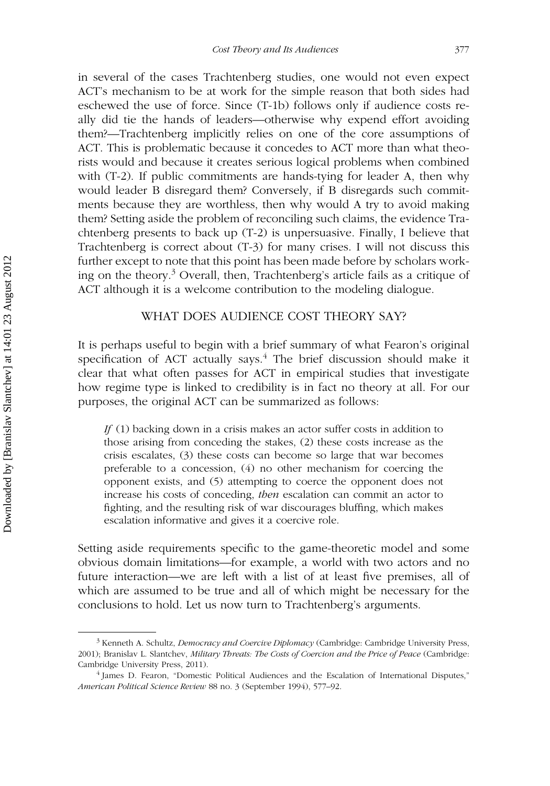in several of the cases Trachtenberg studies, one would not even expect ACT's mechanism to be at work for the simple reason that both sides had eschewed the use of force. Since (T-1b) follows only if audience costs really did tie the hands of leaders—otherwise why expend effort avoiding them?—Trachtenberg implicitly relies on one of the core assumptions of ACT. This is problematic because it concedes to ACT more than what theorists would and because it creates serious logical problems when combined with (T-2). If public commitments are hands-tying for leader A, then why would leader B disregard them? Conversely, if B disregards such commitments because they are worthless, then why would A try to avoid making them? Setting aside the problem of reconciling such claims, the evidence Trachtenberg presents to back up (T-2) is unpersuasive. Finally, I believe that Trachtenberg is correct about (T-3) for many crises. I will not discuss this further except to note that this point has been made before by scholars working on the theory.<sup>3</sup> Overall, then, Trachtenberg's article fails as a critique of ACT although it is a welcome contribution to the modeling dialogue.

## WHAT DOES AUDIENCE COST THEORY SAY?

It is perhaps useful to begin with a brief summary of what Fearon's original specification of ACT actually says.<sup>4</sup> The brief discussion should make it clear that what often passes for ACT in empirical studies that investigate how regime type is linked to credibility is in fact no theory at all. For our purposes, the original ACT can be summarized as follows:

*If* (1) backing down in a crisis makes an actor suffer costs in addition to those arising from conceding the stakes, (2) these costs increase as the crisis escalates, (3) these costs can become so large that war becomes preferable to a concession, (4) no other mechanism for coercing the opponent exists, and (5) attempting to coerce the opponent does not increase his costs of conceding, *then* escalation can commit an actor to fighting, and the resulting risk of war discourages bluffing, which makes escalation informative and gives it a coercive role.

Setting aside requirements specific to the game-theoretic model and some obvious domain limitations—for example, a world with two actors and no future interaction—we are left with a list of at least five premises, all of which are assumed to be true and all of which might be necessary for the conclusions to hold. Let us now turn to Trachtenberg's arguments.

<sup>3</sup> Kenneth A. Schultz, *Democracy and Coercive Diplomacy* (Cambridge: Cambridge University Press, 2001); Branislav L. Slantchev, *Military Threats: The Costs of Coercion and the Price of Peace* (Cambridge: Cambridge University Press, 2011).

<sup>4</sup> James D. Fearon, "Domestic Political Audiences and the Escalation of International Disputes," *American Political Science Review* 88 no. 3 (September 1994), 577–92.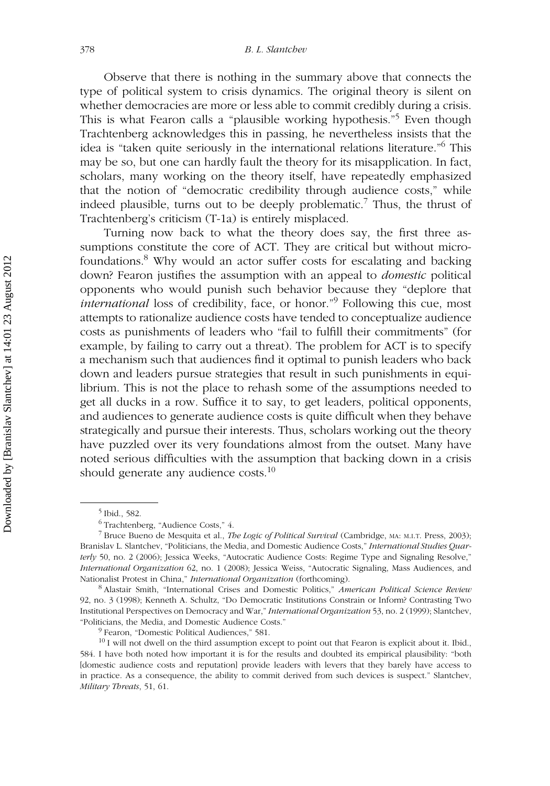Observe that there is nothing in the summary above that connects the type of political system to crisis dynamics. The original theory is silent on whether democracies are more or less able to commit credibly during a crisis. This is what Fearon calls a "plausible working hypothesis."5 Even though Trachtenberg acknowledges this in passing, he nevertheless insists that the idea is "taken quite seriously in the international relations literature."<sup>6</sup> This may be so, but one can hardly fault the theory for its misapplication. In fact, scholars, many working on the theory itself, have repeatedly emphasized that the notion of "democratic credibility through audience costs," while indeed plausible, turns out to be deeply problematic.<sup>7</sup> Thus, the thrust of Trachtenberg's criticism (T-1a) is entirely misplaced.

Turning now back to what the theory does say, the first three assumptions constitute the core of ACT. They are critical but without microfoundations.<sup>8</sup> Why would an actor suffer costs for escalating and backing down? Fearon justifies the assumption with an appeal to *domestic* political opponents who would punish such behavior because they "deplore that *international* loss of credibility, face, or honor."<sup>9</sup> Following this cue, most attempts to rationalize audience costs have tended to conceptualize audience costs as punishments of leaders who "fail to fulfill their commitments" (for example, by failing to carry out a threat). The problem for ACT is to specify a mechanism such that audiences find it optimal to punish leaders who back down and leaders pursue strategies that result in such punishments in equilibrium. This is not the place to rehash some of the assumptions needed to get all ducks in a row. Suffice it to say, to get leaders, political opponents, and audiences to generate audience costs is quite difficult when they behave strategically and pursue their interests. Thus, scholars working out the theory have puzzled over its very foundations almost from the outset. Many have noted serious difficulties with the assumption that backing down in a crisis should generate any audience costs.<sup>10</sup>

<sup>5</sup> Ibid., 582.

<sup>6</sup> Trachtenberg, "Audience Costs," 4.

<sup>7</sup> Bruce Bueno de Mesquita et al., *The Logic of Political Survival* (Cambridge, MA: M.I.T. Press, 2003); Branislav L. Slantchev, "Politicians, the Media, and Domestic Audience Costs," *International Studies Quarterly* 50, no. 2 (2006); Jessica Weeks, "Autocratic Audience Costs: Regime Type and Signaling Resolve," *International Organization* 62, no. 1 (2008); Jessica Weiss, "Autocratic Signaling, Mass Audiences, and Nationalist Protest in China," *International Organization* (forthcoming).

<sup>8</sup> Alastair Smith, "International Crises and Domestic Politics," *American Political Science Review* 92, no. 3 (1998); Kenneth A. Schultz, "Do Democratic Institutions Constrain or Inform? Contrasting Two Institutional Perspectives on Democracy and War," *International Organization* 53, no. 2 (1999); Slantchev, "Politicians, the Media, and Domestic Audience Costs."

<sup>9</sup> Fearon, "Domestic Political Audiences," 581.

 $10$  I will not dwell on the third assumption except to point out that Fearon is explicit about it. Ibid., 584. I have both noted how important it is for the results and doubted its empirical plausibility: "both [domestic audience costs and reputation] provide leaders with levers that they barely have access to in practice. As a consequence, the ability to commit derived from such devices is suspect." Slantchev, *Military Threats*, 51, 61.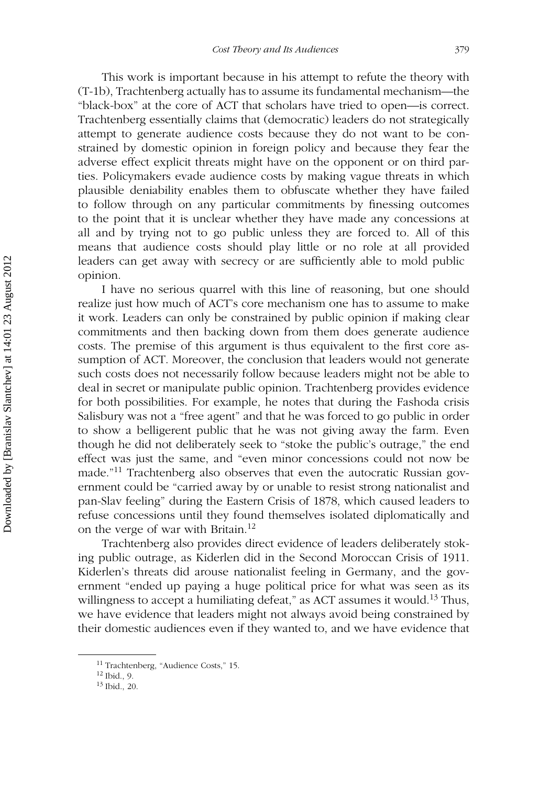This work is important because in his attempt to refute the theory with (T-1b), Trachtenberg actually has to assume its fundamental mechanism—the "black-box" at the core of ACT that scholars have tried to open—is correct. Trachtenberg essentially claims that (democratic) leaders do not strategically attempt to generate audience costs because they do not want to be constrained by domestic opinion in foreign policy and because they fear the adverse effect explicit threats might have on the opponent or on third parties. Policymakers evade audience costs by making vague threats in which plausible deniability enables them to obfuscate whether they have failed to follow through on any particular commitments by finessing outcomes to the point that it is unclear whether they have made any concessions at all and by trying not to go public unless they are forced to. All of this means that audience costs should play little or no role at all provided leaders can get away with secrecy or are sufficiently able to mold public opinion.

I have no serious quarrel with this line of reasoning, but one should realize just how much of ACT's core mechanism one has to assume to make it work. Leaders can only be constrained by public opinion if making clear commitments and then backing down from them does generate audience costs. The premise of this argument is thus equivalent to the first core assumption of ACT. Moreover, the conclusion that leaders would not generate such costs does not necessarily follow because leaders might not be able to deal in secret or manipulate public opinion. Trachtenberg provides evidence for both possibilities. For example, he notes that during the Fashoda crisis Salisbury was not a "free agent" and that he was forced to go public in order to show a belligerent public that he was not giving away the farm. Even though he did not deliberately seek to "stoke the public's outrage," the end effect was just the same, and "even minor concessions could not now be made."<sup>11</sup> Trachtenberg also observes that even the autocratic Russian government could be "carried away by or unable to resist strong nationalist and pan-Slav feeling" during the Eastern Crisis of 1878, which caused leaders to refuse concessions until they found themselves isolated diplomatically and on the verge of war with Britain.<sup>12</sup>

Trachtenberg also provides direct evidence of leaders deliberately stoking public outrage, as Kiderlen did in the Second Moroccan Crisis of 1911. Kiderlen's threats did arouse nationalist feeling in Germany, and the government "ended up paying a huge political price for what was seen as its willingness to accept a humiliating defeat," as ACT assumes it would.<sup>13</sup> Thus, we have evidence that leaders might not always avoid being constrained by their domestic audiences even if they wanted to, and we have evidence that

<sup>11</sup> Trachtenberg, "Audience Costs," 15.

<sup>12</sup> Ibid., 9.

<sup>13</sup> Ibid., 20.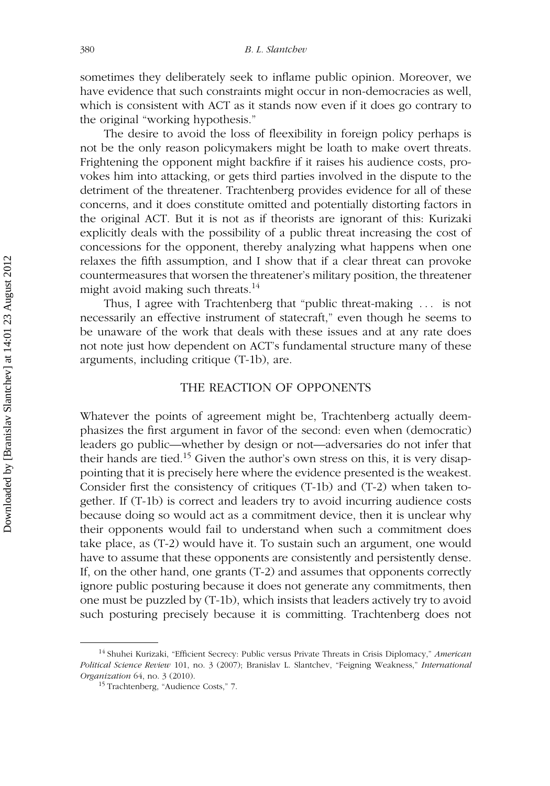sometimes they deliberately seek to inflame public opinion. Moreover, we have evidence that such constraints might occur in non-democracies as well, which is consistent with ACT as it stands now even if it does go contrary to the original "working hypothesis."

The desire to avoid the loss of fleexibility in foreign policy perhaps is not be the only reason policymakers might be loath to make overt threats. Frightening the opponent might backfire if it raises his audience costs, provokes him into attacking, or gets third parties involved in the dispute to the detriment of the threatener. Trachtenberg provides evidence for all of these concerns, and it does constitute omitted and potentially distorting factors in the original ACT. But it is not as if theorists are ignorant of this: Kurizaki explicitly deals with the possibility of a public threat increasing the cost of concessions for the opponent, thereby analyzing what happens when one relaxes the fifth assumption, and I show that if a clear threat can provoke countermeasures that worsen the threatener's military position, the threatener might avoid making such threats.<sup>14</sup>

Thus, I agree with Trachtenberg that "public threat-making . . . is not necessarily an effective instrument of statecraft," even though he seems to be unaware of the work that deals with these issues and at any rate does not note just how dependent on ACT's fundamental structure many of these arguments, including critique (T-1b), are.

## THE REACTION OF OPPONENTS

Whatever the points of agreement might be, Trachtenberg actually deemphasizes the first argument in favor of the second: even when (democratic) leaders go public—whether by design or not—adversaries do not infer that their hands are tied.<sup>15</sup> Given the author's own stress on this, it is very disappointing that it is precisely here where the evidence presented is the weakest. Consider first the consistency of critiques (T-1b) and (T-2) when taken together. If (T-1b) is correct and leaders try to avoid incurring audience costs because doing so would act as a commitment device, then it is unclear why their opponents would fail to understand when such a commitment does take place, as (T-2) would have it. To sustain such an argument, one would have to assume that these opponents are consistently and persistently dense. If, on the other hand, one grants (T-2) and assumes that opponents correctly ignore public posturing because it does not generate any commitments, then one must be puzzled by (T-1b), which insists that leaders actively try to avoid such posturing precisely because it is committing. Trachtenberg does not

<sup>14</sup> Shuhei Kurizaki, "Efficient Secrecy: Public versus Private Threats in Crisis Diplomacy," *American Political Science Review* 101, no. 3 (2007); Branislav L. Slantchev, "Feigning Weakness," *International Organization* 64, no. 3 (2010).

<sup>15</sup> Trachtenberg, "Audience Costs," 7.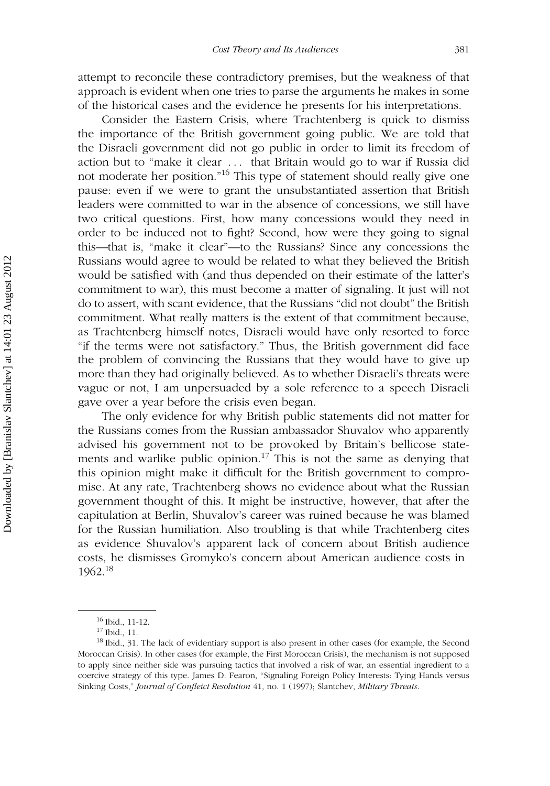attempt to reconcile these contradictory premises, but the weakness of that approach is evident when one tries to parse the arguments he makes in some of the historical cases and the evidence he presents for his interpretations.

Consider the Eastern Crisis, where Trachtenberg is quick to dismiss the importance of the British government going public. We are told that the Disraeli government did not go public in order to limit its freedom of action but to "make it clear . . . that Britain would go to war if Russia did not moderate her position."<sup>16</sup> This type of statement should really give one pause: even if we were to grant the unsubstantiated assertion that British leaders were committed to war in the absence of concessions, we still have two critical questions. First, how many concessions would they need in order to be induced not to fight? Second, how were they going to signal this—that is, "make it clear"—to the Russians? Since any concessions the Russians would agree to would be related to what they believed the British would be satisfied with (and thus depended on their estimate of the latter's commitment to war), this must become a matter of signaling. It just will not do to assert, with scant evidence, that the Russians "did not doubt" the British commitment. What really matters is the extent of that commitment because, as Trachtenberg himself notes, Disraeli would have only resorted to force "if the terms were not satisfactory." Thus, the British government did face the problem of convincing the Russians that they would have to give up more than they had originally believed. As to whether Disraeli's threats were vague or not, I am unpersuaded by a sole reference to a speech Disraeli gave over a year before the crisis even began.

The only evidence for why British public statements did not matter for the Russians comes from the Russian ambassador Shuvalov who apparently advised his government not to be provoked by Britain's bellicose statements and warlike public opinion.<sup>17</sup> This is not the same as denying that this opinion might make it difficult for the British government to compromise. At any rate, Trachtenberg shows no evidence about what the Russian government thought of this. It might be instructive, however, that after the capitulation at Berlin, Shuvalov's career was ruined because he was blamed for the Russian humiliation. Also troubling is that while Trachtenberg cites as evidence Shuvalov's apparent lack of concern about British audience costs, he dismisses Gromyko's concern about American audience costs in 1962.<sup>18</sup>

<sup>16</sup> Ibid., 11-12.

<sup>17</sup> Ibid., 11.

<sup>&</sup>lt;sup>18</sup> Ibid., 31. The lack of evidentiary support is also present in other cases (for example, the Second Moroccan Crisis). In other cases (for example, the First Moroccan Crisis), the mechanism is not supposed to apply since neither side was pursuing tactics that involved a risk of war, an essential ingredient to a coercive strategy of this type. James D. Fearon, "Signaling Foreign Policy Interests: Tying Hands versus Sinking Costs," *Journal of Confleict Resolution* 41, no. 1 (1997); Slantchev, *Military Threats*.